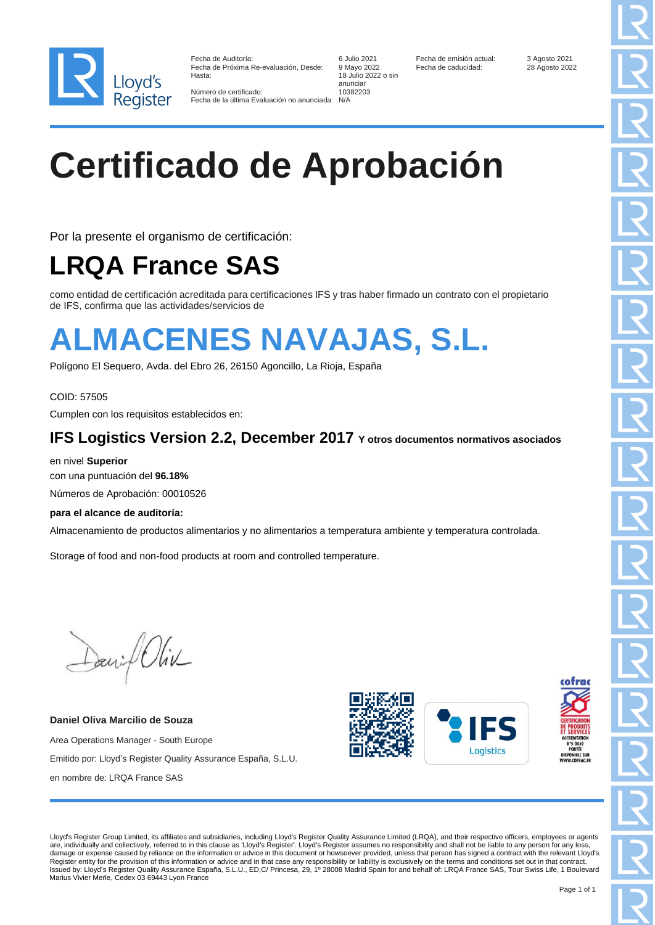

Fecha de Auditoría: **6 Julio 2021** Fecha de emisión actual: 3 Agosto 2021 Fecha de emisión actual: 3 Agosto 2021<br>128 Agosto 2022 Fecha de caducidad: 28 Agosto 2022 Fecha de Próxima Re-evaluación, Desde:<br>Hasta

Número de certificado: Fecha de la última Evaluación no anunciada: N/A

18 Julio 2022 o sin anunciar

# **Certificado de Aprobación**

Por la presente el organismo de certificación:

### **LRQA France SAS**

como entidad de certificación acreditada para certificaciones IFS y tras haber firmado un contrato con el propietario de IFS, confirma que las actividades/servicios de

## **ALMACENES NAVAJAS, S.L.**

Polígono El Sequero, Avda. del Ebro 26, 26150 Agoncillo, La Rioja, España

COID: 57505 Cumplen con los requisitos establecidos en:

#### **IFS Logistics Version 2.2, December 2017 Y otros documentos normativos asociados**

en nivel **Superior**  con una puntuación del **96.18%** Números de Aprobación: 00010526

**para el alcance de auditoría:**

Almacenamiento de productos alimentarios y no alimentarios a temperatura ambiente y temperatura controlada.

Storage of food and non-food products at room and controlled temperature.

Daniel Oliv

**Daniel Oliva Marcilio de Souza** Area Operations Manager - South Europe Emitido por: Lloyd's Register Quality Assurance España, S.L.U. en nombre de: LRQA France SAS







Lloyd's Register Group Limited, its affiliates and subsidiaries, including Lloyd's Register Quality Assurance Limited (LRQA), and their respective officers, employees or agents are, individually and collectively, referred to in this clause as 'Lloyd's Register'. Lloyd's Register assumes no responsibility and shall not be liable to any person for any loss, damage or expense caused by reliance on the information or advice in this document or howsoever provided, unless that person has signed a contract with the relevant Lloyd's<br>Register entity for the provision of this informa Issued by: Lloyd's Register Quality Assurance España, S.L.U., ED,C/ Princesa, 29, 1º 28008 Madrid Spain for and behalf of: LRQA France SAS, Tour Swiss Life, 1 Boulevard Marius Vivier Merle, Cedex 03 69443 Lyon France